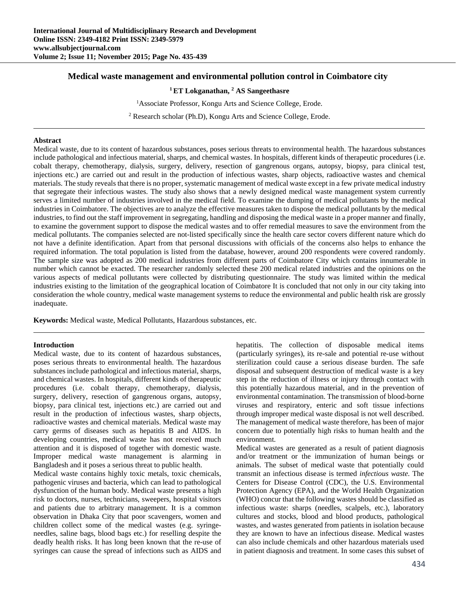# **Medical waste management and environmental pollution control in Coimbatore city**

**1 ET Lokganathan, 2 AS Sangeethasre**

<sup>1</sup> Associate Professor, Kongu Arts and Science College, Erode.

<sup>2</sup> Research scholar (Ph.D), Kongu Arts and Science College, Erode.

#### **Abstract**

Medical waste, due to its content of hazardous substances, poses serious threats to environmental health. The hazardous substances include pathological and infectious material, sharps, and chemical wastes. In hospitals, different kinds of therapeutic procedures (i.e. cobalt therapy, chemotherapy, dialysis, surgery, delivery, resection of gangrenous organs, autopsy, biopsy, para clinical test, injections etc.) are carried out and result in the production of infectious wastes, sharp objects, radioactive wastes and chemical materials. The study reveals that there is no proper, systematic management of medical waste except in a few private medical industry that segregate their infectious wastes. The study also shows that a newly designed medical waste management system currently serves a limited number of industries involved in the medical field. To examine the dumping of medical pollutants by the medical industries in Coimbatore. The objectives are to analyze the effective measures taken to dispose the medical pollutants by the medical industries, to find out the staff improvement in segregating, handling and disposing the medical waste in a proper manner and finally, to examine the government support to dispose the medical wastes and to offer remedial measures to save the environment from the medical pollutants. The companies selected are not-listed specifically since the health care sector covers different nature which do not have a definite identification. Apart from that personal discussions with officials of the concerns also helps to enhance the required information. The total population is listed from the database, however, around 200 respondents were covered randomly. The sample size was adopted as 200 medical industries from different parts of Coimbatore City which contains innumerable in number which cannot be exacted. The researcher randomly selected these 200 medical related industries and the opinions on the various aspects of medical pollutants were collected by distributing questionnaire. The study was limited within the medical industries existing to the limitation of the geographical location of Coimbatore It is concluded that not only in our city taking into consideration the whole country, medical waste management systems to reduce the environmental and public health risk are grossly inadequate.

**Keywords:** Medical waste, Medical Pollutants, Hazardous substances, etc.

## **Introduction**

Medical waste, due to its content of hazardous substances, poses serious threats to environmental health. The hazardous substances include pathological and infectious material, sharps, and chemical wastes. In hospitals, different kinds of therapeutic procedures (i.e. cobalt therapy, chemotherapy, dialysis, surgery, delivery, resection of gangrenous organs, autopsy, biopsy, para clinical test, injections etc.) are carried out and result in the production of infectious wastes, sharp objects, radioactive wastes and chemical materials. Medical waste may carry germs of diseases such as hepatitis B and AIDS. In developing countries, medical waste has not received much attention and it is disposed of together with domestic waste. Improper medical waste management is alarming in Bangladesh and it poses a serious threat to public health.

Medical waste contains highly toxic metals, toxic chemicals, pathogenic viruses and bacteria, which can lead to pathological dysfunction of the human body. Medical waste presents a high risk to doctors, nurses, technicians, sweepers, hospital visitors and patients due to arbitrary management. It is a common observation in Dhaka City that poor scavengers, women and children collect some of the medical wastes (e.g. syringeneedles, saline bags, blood bags etc.) for reselling despite the deadly health risks. It has long been known that the re-use of syringes can cause the spread of infections such as AIDS and hepatitis. The collection of disposable medical items (particularly syringes), its re-sale and potential re-use without sterilization could cause a serious disease burden. The safe disposal and subsequent destruction of medical waste is a key step in the reduction of illness or injury through contact with this potentially hazardous material, and in the prevention of environmental contamination. The transmission of blood-borne viruses and respiratory, enteric and soft tissue infections through improper medical waste disposal is not well described. The management of medical waste therefore, has been of major concern due to potentially high risks to human health and the environment.

Medical wastes are generated as a result of patient diagnosis and/or treatment or the immunization of human beings or animals. The subset of medical waste that potentially could transmit an infectious disease is termed *infectious waste.* The Centers for Disease Control (CDC), the U.S. Environmental Protection Agency (EPA), and the World Health Organization (WHO) concur that the following wastes should be classified as infectious waste: sharps (needles, scalpels, etc.), laboratory cultures and stocks, blood and blood products, pathological wastes, and wastes generated from patients in isolation because they are known to have an infectious disease. Medical wastes can also include chemicals and other hazardous materials used in patient diagnosis and treatment. In some cases this subset of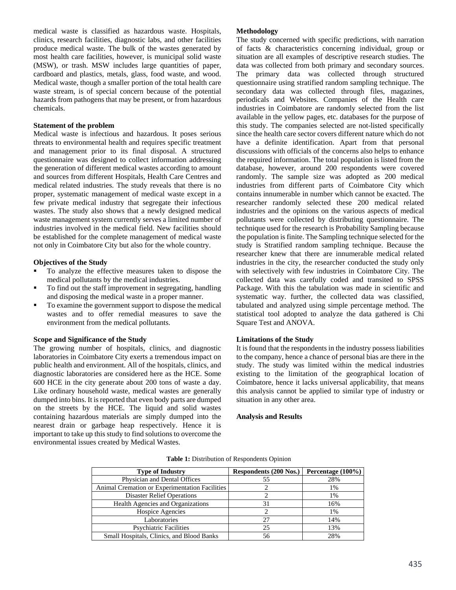medical waste is classified as hazardous waste. Hospitals, clinics, research facilities, diagnostic labs, and other facilities produce medical waste. The bulk of the wastes generated by most health care facilities, however, is municipal solid waste (MSW), or trash. MSW includes large quantities of paper, cardboard and plastics, metals, glass, food waste, and wood. Medical waste, though a smaller portion of the total health care waste stream, is of special concern because of the potential hazards from pathogens that may be present, or from hazardous chemicals.

#### **Statement of the problem**

Medical waste is infectious and hazardous. It poses serious threats to environmental health and requires specific treatment and management prior to its final disposal. A structured questionnaire was designed to collect information addressing the generation of different medical wastes according to amount and sources from different Hospitals, Health Care Centres and medical related industries. The study reveals that there is no proper, systematic management of medical waste except in a few private medical industry that segregate their infectious wastes. The study also shows that a newly designed medical waste management system currently serves a limited number of industries involved in the medical field. New facilities should be established for the complete management of medical waste not only in Coimbatore City but also for the whole country.

## **Objectives of the Study**

- To analyze the effective measures taken to dispose the medical pollutants by the medical industries.
- To find out the staff improvement in segregating, handling and disposing the medical waste in a proper manner.
- To examine the government support to dispose the medical wastes and to offer remedial measures to save the environment from the medical pollutants.

### **Scope and Significance of the Study**

The growing number of hospitals, clinics, and diagnostic laboratories in Coimbatore City exerts a tremendous impact on public health and environment. All of the hospitals, clinics, and diagnostic laboratories are considered here as the HCE. Some 600 HCE in the city generate about 200 tons of waste a day. Like ordinary household waste, medical wastes are generally dumped into bins. It is reported that even body parts are dumped on the streets by the HCE. The liquid and solid wastes containing hazardous materials are simply dumped into the nearest drain or garbage heap respectively. Hence it is important to take up this study to find solutions to overcome the environmental issues created by Medical Wastes.

#### **Methodology**

The study concerned with specific predictions, with narration of facts & characteristics concerning individual, group or situation are all examples of descriptive research studies. The data was collected from both primary and secondary sources. The primary data was collected through structured questionnaire using stratified random sampling technique. The secondary data was collected through files, magazines, periodicals and Websites. Companies of the Health care industries in Coimbatore are randomly selected from the list available in the yellow pages, etc. databases for the purpose of this study. The companies selected are not-listed specifically since the health care sector covers different nature which do not have a definite identification. Apart from that personal discussions with officials of the concerns also helps to enhance the required information. The total population is listed from the database, however, around 200 respondents were covered randomly. The sample size was adopted as 200 medical industries from different parts of Coimbatore City which contains innumerable in number which cannot be exacted. The researcher randomly selected these 200 medical related industries and the opinions on the various aspects of medical pollutants were collected by distributing questionnaire. The technique used for the research is Probability Sampling because the population is finite. The Sampling technique selected for the study is Stratified random sampling technique. Because the researcher knew that there are innumerable medical related industries in the city, the researcher conducted the study only with selectively with few industries in Coimbatore City. The collected data was carefully coded and transited to SPSS Package. With this the tabulation was made in scientific and systematic way. further, the collected data was classified, tabulated and analyzed using simple percentage method. The statistical tool adopted to analyze the data gathered is Chi Square Test and ANOVA.

#### **Limitations of the Study**

It is found that the respondents in the industry possess liabilities to the company, hence a chance of personal bias are there in the study. The study was limited within the medical industries existing to the limitation of the geographical location of Coimbatore, hence it lacks universal applicability, that means this analysis cannot be applied to similar type of industry or situation in any other area.

#### **Analysis and Results**

| <b>Type of Industry</b>                        | <b>Respondents (200 Nos.)</b> | Percentage $(100\%)$ |
|------------------------------------------------|-------------------------------|----------------------|
| Physician and Dental Offices                   | 55                            | 28%                  |
| Animal Cremation or Experimentation Facilities |                               | 1%                   |
| <b>Disaster Relief Operations</b>              |                               | 1%                   |
| <b>Health Agencies and Organizations</b>       | 31                            | 16%                  |
| Hospice Agencies                               |                               | 1%                   |
| Laboratories                                   | 27                            | 14%                  |
| <b>Psychiatric Facilities</b>                  | 25                            | 13%                  |
| Small Hospitals, Clinics, and Blood Banks      | 56                            | 28%                  |

**Table 1:** Distribution of Respondents Opinion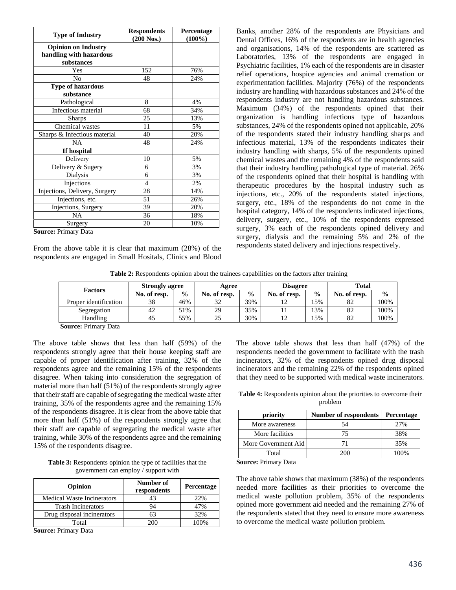| <b>Type of Industry</b>       | <b>Respondents</b><br>(200 Nos.) | Percentage<br>$(100\%)$ |
|-------------------------------|----------------------------------|-------------------------|
| <b>Opinion on Industry</b>    |                                  |                         |
| handling with hazardous       |                                  |                         |
| substances                    |                                  |                         |
| Yes                           | 152                              | 76%                     |
| No                            | 48                               | 24%                     |
| <b>Type of hazardous</b>      |                                  |                         |
| substance                     |                                  |                         |
| Pathological                  | 8                                | 4%                      |
| Infectious material           | 68                               | 34%                     |
| <b>Sharps</b>                 | 25                               | 13%                     |
| Chemical wastes               | 11                               | 5%                      |
| Sharps & Infectious material  | 40                               | 20%                     |
| <b>NA</b>                     | 48                               | 24%                     |
| If hospital                   |                                  |                         |
| Delivery                      | 10                               | 5%                      |
| Delivery & Sugery             | 6                                | 3%                      |
| Dialysis                      | 6                                | 3%                      |
| Injections                    | $\overline{4}$                   | 2%                      |
| Injections, Delivery, Surgery | 28                               | 14%                     |
| Injections, etc.              | 51                               | 26%                     |
| Injections, Surgery           | 39                               | 20%                     |
| <b>NA</b>                     | 36                               | 18%                     |
| Surgery<br>$\mathbf{r}$ .     | 20                               | 10%                     |

**Source:** Primary Data

From the above table it is clear that maximum (28%) of the respondents are engaged in Small Hositals, Clinics and Blood

Banks, another 28% of the respondents are Physicians and Dental Offices, 16% of the respondents are in health agencies and organisations, 14% of the respondents are scattered as Laboratories, 13% of the respondents are engaged in Psychiatric facilities, 1% each of the respondents are in disaster relief operations, hospice agencies and animal cremation or experimentation facilities. Majority (76%) of the respondents industry are handling with hazardous substances and 24% of the respondents industry are not handling hazardous substances. Maximum (34%) of the respondents opined that their organization is handling infectious type of hazardous substances, 24% of the respondents opined not applicable, 20% of the respondents stated their industry handling sharps and infectious material, 13% of the respondents indicates their industry handling with sharps, 5% of the respondents opined chemical wastes and the remaining 4% of the respondents said that their industry handling pathological type of material. 26% of the respondents opined that their hospital is handling with therapeutic procedures by the hospital industry such as injections, etc., 20% of the respondents stated injections, surgery, etc., 18% of the respondents do not come in the hospital category, 14% of the respondents indicated injections, delivery, surgery, etc., 10% of the respondents expressed surgery, 3% each of the respondents opined delivery and surgery, dialysis and the remaining 5% and 2% of the respondents stated delivery and injections respectively.

**Table 2:** Respondents opinion about the trainees capabilities on the factors after training

| <b>Strongly agree</b><br><b>Factors</b> |              | Agree         |                      | <b>Disagree</b> |              | <b>Total</b>  |              |               |
|-----------------------------------------|--------------|---------------|----------------------|-----------------|--------------|---------------|--------------|---------------|
|                                         | No. of resp. | $\frac{0}{0}$ | No. of resp.         | $\frac{6}{9}$   | No. of resp. | $\frac{0}{0}$ | No. of resp. | $\frac{6}{9}$ |
| Proper identification                   | 38           | 46%           | $\mathfrak{D}$<br>ΟŹ | 39%             |              | 15%           | 82           | 100%          |
| Segregation                             | 42           | 51%           | 29                   | 35%             |              | 13%           | 82           | 100%          |
| Handling                                | 45           | 55%           | 25                   | 30%             | ^ י          | 15%           | 82           | 100%          |

**Source:** Primary Data

The above table shows that less than half (59%) of the respondents strongly agree that their house keeping staff are capable of proper identification after training, 32% of the respondents agree and the remaining 15% of the respondents disagree. When taking into consideration the segregation of material more than half (51%) of the respondents strongly agree that their staff are capable of segregating the medical waste after training, 35% of the respondents agree and the remaining 15% of the respondents disagree. It is clear from the above table that more than half (51%) of the respondents strongly agree that their staff are capable of segregating the medical waste after training, while 30% of the respondents agree and the remaining 15% of the respondents disagree.

**Table 3:** Respondents opinion the type of facilities that the government can employ / support with

| <b>Opinion</b>                    | Number of<br>respondents | <b>Percentage</b> |
|-----------------------------------|--------------------------|-------------------|
| <b>Medical Waste Incinerators</b> | 43                       | 22%               |
| <b>Trash Incinerators</b>         | 94                       | 47%               |
| Drug disposal incinerators        | 63                       | 32%               |
| Total                             | 200-                     | 100%              |

**Source:** Primary Data

The above table shows that less than half (47%) of the respondents needed the government to facilitate with the trash incinerators, 32% of the respondents opined drug disposal incinerators and the remaining 22% of the respondents opined that they need to be supported with medical waste incinerators.

**Table 4:** Respondents opinion about the priorities to overcome their problem

| priority            | Number of respondents | <b>Percentage</b> |  |
|---------------------|-----------------------|-------------------|--|
| More awareness      | 54                    | 2.7%              |  |
| More facilities     | 75                    | 38%               |  |
| More Government Aid | 71                    | 35%               |  |
| Total               | 200                   | 100%              |  |

**Source:** Primary Data

The above table shows that maximum (38%) of the respondents needed more facilities as their priorities to overcome the medical waste pollution problem, 35% of the respondents opined more government aid needed and the remaining 27% of the respondents stated that they need to ensure more awareness to overcome the medical waste pollution problem.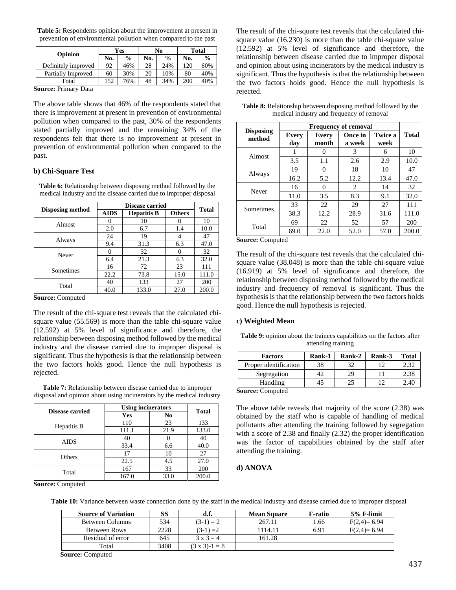**Table 5:** Respondents opinion about the improvement at present in prevention of environmental pollution when compared to the past

|                     | <b>Yes</b> |               | No  |               | <b>Total</b> |               |
|---------------------|------------|---------------|-----|---------------|--------------|---------------|
| Opinion             | No.        | $\frac{6}{9}$ | No. | $\frac{0}{0}$ | No.          | $\frac{0}{0}$ |
| Definitely improved | 92         | 46%           | 28  | 24%           | 120          | 60%           |
| Partially Improved  | 60         | 30%           | 20  | 10%           | 80           | 40%           |
| Total               | 152        | 76%           | 48  | 34%           | 200          | 40%           |

**Source:** Primary Data

The above table shows that 46% of the respondents stated that there is improvement at present in prevention of environmental pollution when compared to the past, 30% of the respondents stated partially improved and the remaining 34% of the respondents felt that there is no improvement at present in prevention of environmental pollution when compared to the past.

### **b) Chi-Square Test**

**Table 6:** Relationship between disposing method followed by the medical industry and the disease carried due to improper disposal

|                         |             | <b>Disease carried</b> |               |              |  |  |
|-------------------------|-------------|------------------------|---------------|--------------|--|--|
| <b>Disposing method</b> | <b>AIDS</b> | <b>Hepatitis B</b>     | <b>Others</b> | <b>Total</b> |  |  |
| Almost                  |             | 10                     |               | 10           |  |  |
|                         | 2.0         | 6.7                    | 1.4           | 10.0         |  |  |
| Always                  | 24          | 19                     |               | 47           |  |  |
|                         | 9.4         | 31.3                   | 6.3           | 47.0         |  |  |
| Never                   |             | 32                     |               | 32           |  |  |
|                         | 6.4         | 21.3                   | 4.3           | 32.0         |  |  |
| Sometimes               | 16          | 72                     | 23            | 111          |  |  |
|                         | 22.2        | 73.8                   | 15.0          | 111.0        |  |  |
| Total                   | 40          | 133                    | 27            | 200          |  |  |
|                         | 40.0        | 133.0                  | 27.0          | 200.0        |  |  |

**Source:** Computed

The result of the chi-square test reveals that the calculated chisquare value (55.569) is more than the table chi-square value (12.592) at 5% level of significance and therefore, the relationship between disposing method followed by the medical industry and the disease carried due to improper disposal is significant. Thus the hypothesis is that the relationship between the two factors holds good. Hence the null hypothesis is rejected.

**Table 7:** Relationship between disease carried due to improper disposal and opinion about using incinerators by the medical industry

| Disease carried | <b>Using incinerators</b> | <b>Total</b> |       |
|-----------------|---------------------------|--------------|-------|
|                 | <b>Yes</b>                | No           |       |
|                 | 110                       | 23           | 133   |
| Hepatitis B     | 111.1                     | 21.9         | 133.0 |
|                 | 40                        |              | 40    |
| <b>AIDS</b>     | 33.4                      | 6.6          | 40.0  |
| Others          | 17                        | 10           | 27    |
|                 | 22.5                      | 4.5          | 27.0  |
|                 | 167                       | 33           | 200   |
| Total           | 167.0                     | 33.0         | 200.0 |

The result of the chi-square test reveals that the calculated chisquare value (16.230) is more than the table chi-square value (12.592) at 5% level of significance and therefore, the relationship between disease carried due to improper disposal and opinion about using incinerators by the medical industry is significant. Thus the hypothesis is that the relationship between the two factors holds good. Hence the null hypothesis is rejected.

| <b>Table 8:</b> Relationship between disposing method followed by the |
|-----------------------------------------------------------------------|
| medical industry and frequency of removal                             |

|                            | <b>Frequency of removal</b> |                |                   |                        |              |
|----------------------------|-----------------------------|----------------|-------------------|------------------------|--------------|
| <b>Disposing</b><br>method | <b>Every</b><br>dav         | Every<br>month | Once in<br>a week | <b>Twice a</b><br>week | <b>Total</b> |
| Almost                     |                             | $\theta$       | 3                 | 6                      | 10           |
|                            | 3.5                         | 1.1            | 2.6               | 2.9                    | 10.0         |
|                            | 19                          | 0              | 18                | 10                     | 47           |
| Always                     | 16.2                        | 5.2            | 12.2              | 13.4                   | 47.0         |
|                            | 16                          | $\theta$       | 2                 | 14                     | 32           |
| Never                      | 11.0                        | 3.5            | 8.3               | 9.1                    | 32.0         |
| Sometimes                  | 33                          | 22             | 29                | 27                     | 111          |
|                            | 38.3                        | 12.2           | 28.9              | 31.6                   | 111.0        |
| Total                      | 69                          | 22             | 52                | 57                     | 200          |
|                            | 69.0                        | 22.0           | 52.0              | 57.0                   | 200.0        |

**Source:** Computed

The result of the chi-square test reveals that the calculated chisquare value (38.048) is more than the table chi-square value (16.919) at 5% level of significance and therefore, the relationship between disposing method followed by the medical industry and frequency of removal is significant. Thus the hypothesis is that the relationship between the two factors holds good. Hence the null hypothesis is rejected.

### **c) Weighted Mean**

**Table 9:** opinion about the trainees capabilities on the factors after attending training

| <b>Factors</b>        | Rank-1 | Rank-2 | Rank-3 | <b>Total</b> |
|-----------------------|--------|--------|--------|--------------|
| Proper identification | 38     |        |        |              |
| Segregation           |        | 29     |        | 2.38         |
| Handling              |        |        |        | $7.4$ .      |

**Source:** Computed

The above table reveals that majority of the score (2.38) was obtained by the staff who is capable of handling of medical pollutants after attending the training followed by segregation with a score of 2.38 and finally (2.32) the proper identification was the factor of capabilities obtained by the staff after attending the training.

### **d) ANOVA**

**Source:** Computed

**Table 10:** Variance between waste connection done by the staff in the medical industry and disease carried due to improper disposal

| <b>Source of Variation</b> | SS   | d.f.               | <b>Mean Square</b> | F-ratio | $5%$ F-limit  |
|----------------------------|------|--------------------|--------------------|---------|---------------|
| <b>Between Columns</b>     | 534  | $(3-1) = 2$        | 267.11             | 1.66    | $F(2,4)=6.94$ |
| <b>Between Rows</b>        | 2228 | $(3-1) = 2$        | 1114.11            | 6.91    | $F(2,4)=6.94$ |
| Residual of error          | 645  | $3 \times 3 = 4$   | 161.28             |         |               |
| Total                      | 3408 | $(3 \times 3)-1=8$ |                    |         |               |

**Source:** Computed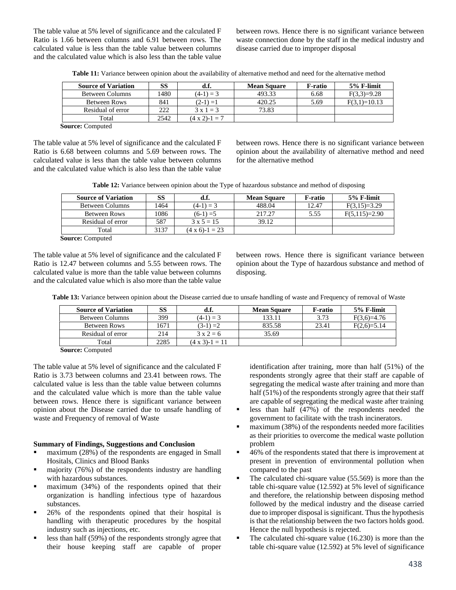The table value at 5% level of significance and the calculated F Ratio is 1.66 between columns and 6.91 between rows. The calculated value is less than the table value between columns and the calculated value which is also less than the table value between rows. Hence there is no significant variance between waste connection done by the staff in the medical industry and disease carried due to improper disposal

| <b>Source of Variation</b> | SS    | d.f.                   | <b>Mean Square</b> | F-ratio | $5%$ F-limit   |
|----------------------------|-------|------------------------|--------------------|---------|----------------|
| Between Columns            | 1480. | $(4-1) = 3$            | 493.33             | 6.68    | $F(3,3)=9.28$  |
| <b>Between Rows</b>        | 841   | $(2-1) = 1$            | 420.25             | 5.69    | $F(3,1)=10.13$ |
| Residual of error          | 222   | $3 \times 1 = 3$       | 73.83              |         |                |
| Total                      | 2542  | $(4 \times 2) - 1 = 7$ |                    |         |                |

**Source:** Computed

The table value at 5% level of significance and the calculated F Ratio is 6.68 between columns and 5.69 between rows. The calculated value is less than the table value between columns and the calculated value which is also less than the table value between rows. Hence there is no significant variance between opinion about the availability of alternative method and need for the alternative method

**Table 12:** Variance between opinion about the Type of hazardous substance and method of disposing

| <b>Source of Variation</b> | SS   | d.f.                    | <b>Mean Square</b> | F-ratio | 5% F-limit      |
|----------------------------|------|-------------------------|--------------------|---------|-----------------|
| <b>Between Columns</b>     | 1464 | $(4-1) = 3$             | 488.04             | 12.47   | $F(3,15)=3.29$  |
| Between Rows               | 1086 | $(6-1) = 5$             | 217.27             | 5.55    | $F(5,115)=2.90$ |
| Residual of error          | 587  | $3 \times 5 = 15$       | 39.12              |         |                 |
| Total                      | 3137 | $(4 \times 6) - 1 = 23$ |                    |         |                 |
| $\sim$<br>$\sim$           |      |                         |                    |         |                 |

**Source:** Computed

The table value at 5% level of significance and the calculated F Ratio is 12.47 between columns and 5.55 between rows. The calculated value is more than the table value between columns and the calculated value which is also more than the table value

between rows. Hence there is significant variance between opinion about the Type of hazardous substance and method of disposing.

**Table 13:** Variance between opinion about the Disease carried due to unsafe handling of waste and Frequency of removal of Waste

| <b>Source of Variation</b> | SS   | a.ı.                | <b>Mean Square</b> | F-ratio | $5%$ F-limit  |
|----------------------------|------|---------------------|--------------------|---------|---------------|
| Between Columns            | 399  | $(4-1) = 3$         | 133.11             | 3.73    | $F(3,6)=4.76$ |
| Between Rows               | 1671 | $(3-1) = 2$         | 835.58             | 23.41   | $F(2,6)=5.14$ |
| Residual of error          | 214  | $3 \times 2 = 6$    | 35.69              |         |               |
| Total                      | 2285 | $(4 \times 3)-1=11$ |                    |         |               |

**Source:** Computed

The table value at 5% level of significance and the calculated F Ratio is 3.73 between columns and 23.41 between rows. The calculated value is less than the table value between columns and the calculated value which is more than the table value between rows. Hence there is significant variance between opinion about the Disease carried due to unsafe handling of waste and Frequency of removal of Waste

#### **Summary of Findings, Suggestions and Conclusion**

- maximum (28%) of the respondents are engaged in Small Hositals, Clinics and Blood Banks
- $\blacksquare$  majority (76%) of the respondents industry are handling with hazardous substances.
- **maximum** (34%) of the respondents opined that their organization is handling infectious type of hazardous substances.
- **26%** of the respondents opined that their hospital is handling with therapeutic procedures by the hospital industry such as injections, etc.
- less than half  $(59\%)$  of the respondents strongly agree that their house keeping staff are capable of proper

identification after training, more than half (51%) of the respondents strongly agree that their staff are capable of segregating the medical waste after training and more than half (51%) of the respondents strongly agree that their staff are capable of segregating the medical waste after training

- less than half (47%) of the respondents needed the government to facilitate with the trash incinerators.
- $\blacksquare$  maximum (38%) of the respondents needed more facilities as their priorities to overcome the medical waste pollution problem
- 46% of the respondents stated that there is improvement at present in prevention of environmental pollution when compared to the past
- The calculated chi-square value (55.569) is more than the table chi-square value (12.592) at 5% level of significance and therefore, the relationship between disposing method followed by the medical industry and the disease carried due to improper disposal is significant. Thus the hypothesis is that the relationship between the two factors holds good. Hence the null hypothesis is rejected.
- The calculated chi-square value (16.230) is more than the table chi-square value (12.592) at 5% level of significance